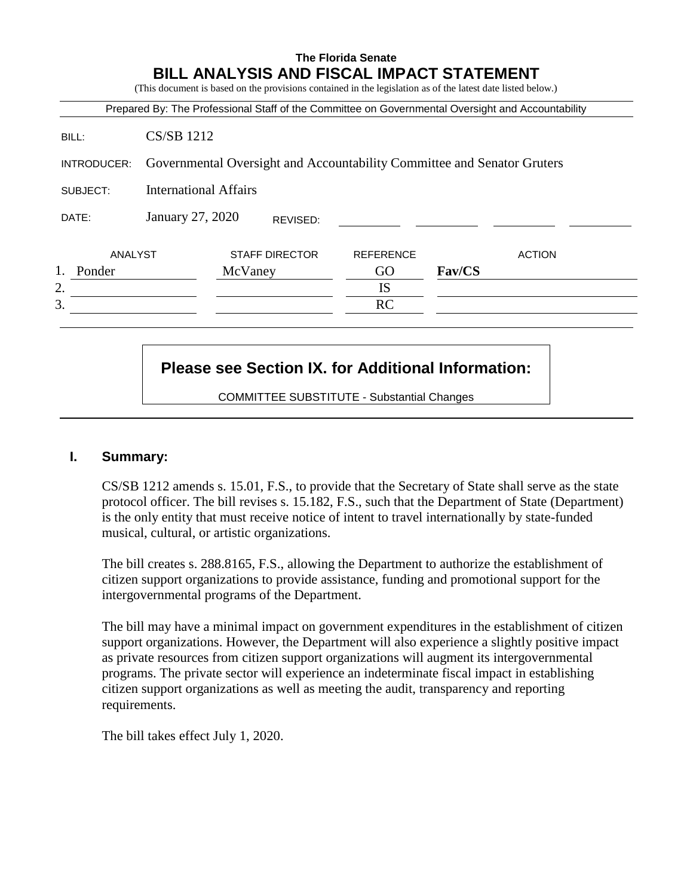# **The Florida Senate BILL ANALYSIS AND FISCAL IMPACT STATEMENT**

(This document is based on the provisions contained in the legislation as of the latest date listed below.)

|             |                                                                         | Prepared By: The Professional Staff of the Committee on Governmental Oversight and Accountability |                  |        |               |
|-------------|-------------------------------------------------------------------------|---------------------------------------------------------------------------------------------------|------------------|--------|---------------|
| BILL:       | <b>CS/SB 1212</b>                                                       |                                                                                                   |                  |        |               |
| INTRODUCER: | Governmental Oversight and Accountability Committee and Senator Gruters |                                                                                                   |                  |        |               |
| SUBJECT:    | <b>International Affairs</b>                                            |                                                                                                   |                  |        |               |
| DATE:       | January 27, 2020                                                        | REVISED:                                                                                          |                  |        |               |
| ANALYST     |                                                                         | <b>STAFF DIRECTOR</b>                                                                             | <b>REFERENCE</b> |        | <b>ACTION</b> |
| Ponder      |                                                                         | McVaney                                                                                           | GO               | Fav/CS |               |
| 2.          |                                                                         |                                                                                                   | <b>IS</b>        |        |               |
| 3.          |                                                                         |                                                                                                   | RC               |        |               |

# **Please see Section IX. for Additional Information:**

COMMITTEE SUBSTITUTE - Substantial Changes

#### **I. Summary:**

CS/SB 1212 amends s. 15.01, F.S., to provide that the Secretary of State shall serve as the state protocol officer. The bill revises s. 15.182, F.S., such that the Department of State (Department) is the only entity that must receive notice of intent to travel internationally by state-funded musical, cultural, or artistic organizations.

The bill creates s. 288.8165, F.S., allowing the Department to authorize the establishment of citizen support organizations to provide assistance, funding and promotional support for the intergovernmental programs of the Department.

The bill may have a minimal impact on government expenditures in the establishment of citizen support organizations. However, the Department will also experience a slightly positive impact as private resources from citizen support organizations will augment its intergovernmental programs. The private sector will experience an indeterminate fiscal impact in establishing citizen support organizations as well as meeting the audit, transparency and reporting requirements.

The bill takes effect July 1, 2020.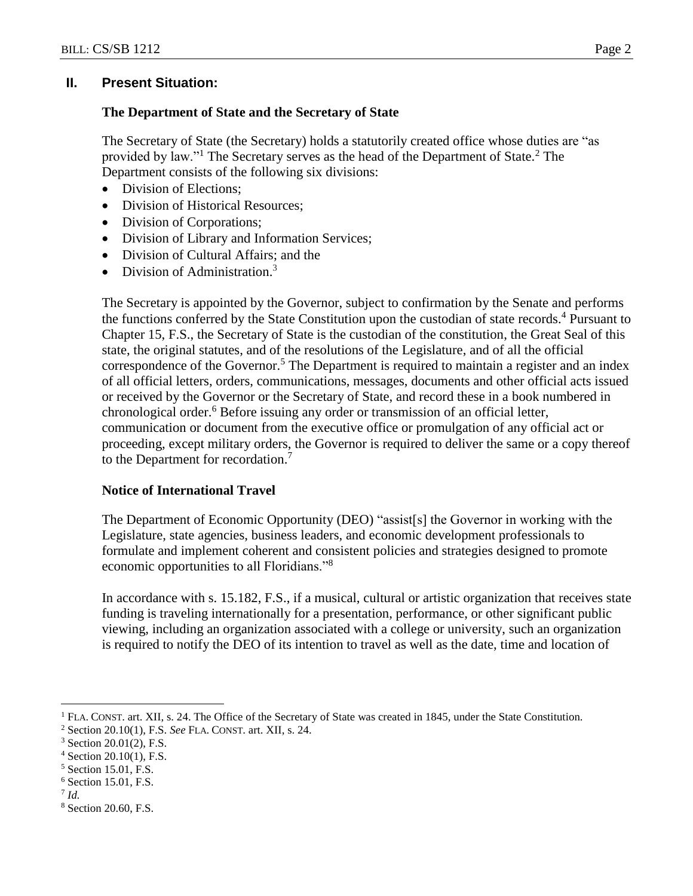# **II. Present Situation:**

# **The Department of State and the Secretary of State**

The Secretary of State (the Secretary) holds a statutorily created office whose duties are "as provided by law."<sup>1</sup> The Secretary serves as the head of the Department of State.<sup>2</sup> The Department consists of the following six divisions:

- Division of Elections:
- Division of Historical Resources;
- Division of Corporations;
- Division of Library and Information Services;
- Division of Cultural Affairs; and the
- Division of Administration.<sup>3</sup>

The Secretary is appointed by the Governor, subject to confirmation by the Senate and performs the functions conferred by the State Constitution upon the custodian of state records.<sup>4</sup> Pursuant to Chapter 15, F.S., the Secretary of State is the custodian of the constitution, the Great Seal of this state, the original statutes, and of the resolutions of the Legislature, and of all the official correspondence of the Governor. <sup>5</sup> The Department is required to maintain a register and an index of all official letters, orders, communications, messages, documents and other official acts issued or received by the Governor or the Secretary of State, and record these in a book numbered in chronological order.<sup>6</sup> Before issuing any order or transmission of an official letter, communication or document from the executive office or promulgation of any official act or proceeding, except military orders, the Governor is required to deliver the same or a copy thereof to the Department for recordation.<sup>7</sup>

# **Notice of International Travel**

The Department of Economic Opportunity (DEO) "assist[s] the Governor in working with the Legislature, state agencies, business leaders, and economic development professionals to formulate and implement coherent and consistent policies and strategies designed to promote economic opportunities to all Floridians."<sup>8</sup>

In accordance with s. 15.182, F.S., if a musical, cultural or artistic organization that receives state funding is traveling internationally for a presentation, performance, or other significant public viewing, including an organization associated with a college or university, such an organization is required to notify the DEO of its intention to travel as well as the date, time and location of

<sup>6</sup> Section 15.01, F.S.

 $\overline{a}$ 

<sup>1</sup> FLA. CONST. art. XII, s. 24. The Office of the Secretary of State was created in 1845, under the State Constitution.

<sup>2</sup> Section 20.10(1), F.S. *See* FLA. CONST. art. XII, s. 24.

 $3$  Section 20.01(2), F.S.

<sup>4</sup> Section 20.10(1), F.S.

<sup>5</sup> Section 15.01, F.S.

<sup>7</sup> *Id.* 

<sup>8</sup> Section 20.60, F.S.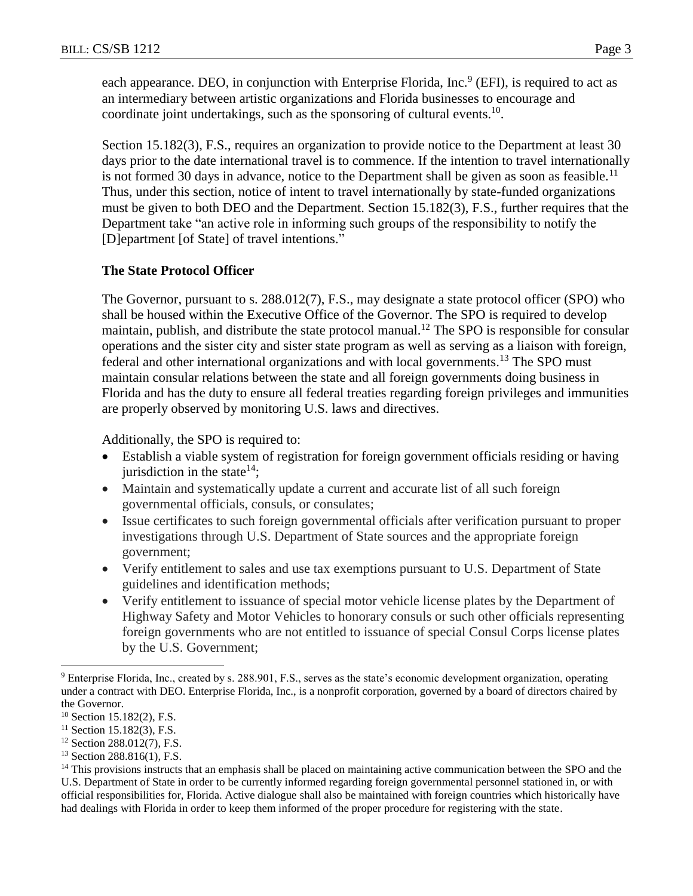each appearance. DEO, in conjunction with Enterprise Florida, Inc.<sup>9</sup> (EFI), is required to act as an intermediary between artistic organizations and Florida businesses to encourage and coordinate joint undertakings, such as the sponsoring of cultural events. $10$ .

Section 15.182(3), F.S., requires an organization to provide notice to the Department at least 30 days prior to the date international travel is to commence. If the intention to travel internationally is not formed 30 days in advance, notice to the Department shall be given as soon as feasible.<sup>11</sup> Thus, under this section, notice of intent to travel internationally by state-funded organizations must be given to both DEO and the Department. Section 15.182(3), F.S., further requires that the Department take "an active role in informing such groups of the responsibility to notify the [D]epartment [of State] of travel intentions."

# **The State Protocol Officer**

The Governor, pursuant to s. 288.012(7), F.S., may designate a state protocol officer (SPO) who shall be housed within the Executive Office of the Governor. The SPO is required to develop maintain, publish, and distribute the state protocol manual.<sup>12</sup> The SPO is responsible for consular operations and the sister city and sister state program as well as serving as a liaison with foreign, federal and other international organizations and with local governments.<sup>13</sup> The SPO must maintain consular relations between the state and all foreign governments doing business in Florida and has the duty to ensure all federal treaties regarding foreign privileges and immunities are properly observed by monitoring U.S. laws and directives.

Additionally, the SPO is required to:

- Establish a viable system of registration for foreign government officials residing or having jurisdiction in the state $14$ ;
- Maintain and systematically update a current and accurate list of all such foreign governmental officials, consuls, or consulates;
- Issue certificates to such foreign governmental officials after verification pursuant to proper investigations through U.S. Department of State sources and the appropriate foreign government;
- Verify entitlement to sales and use tax exemptions pursuant to U.S. Department of State guidelines and identification methods;
- Verify entitlement to issuance of special motor vehicle license plates by the Department of Highway Safety and Motor Vehicles to honorary consuls or such other officials representing foreign governments who are not entitled to issuance of special Consul Corps license plates by the U.S. Government;

 $\overline{a}$ 

<sup>13</sup> Section 288.816(1), F.S.

<sup>9</sup> Enterprise Florida, Inc., created by s. 288.901, F.S., serves as the state's economic development organization, operating under a contract with DEO. Enterprise Florida, Inc., is a nonprofit corporation, governed by a board of directors chaired by the Governor.

 $10$  Section 15.182(2), F.S.

 $11$  Section 15.182(3), F.S.

<sup>12</sup> Section 288.012(7), F.S.

<sup>&</sup>lt;sup>14</sup> This provisions instructs that an emphasis shall be placed on maintaining active communication between the SPO and the U.S. Department of State in order to be currently informed regarding foreign governmental personnel stationed in, or with official responsibilities for, Florida. Active dialogue shall also be maintained with foreign countries which historically have had dealings with Florida in order to keep them informed of the proper procedure for registering with the state.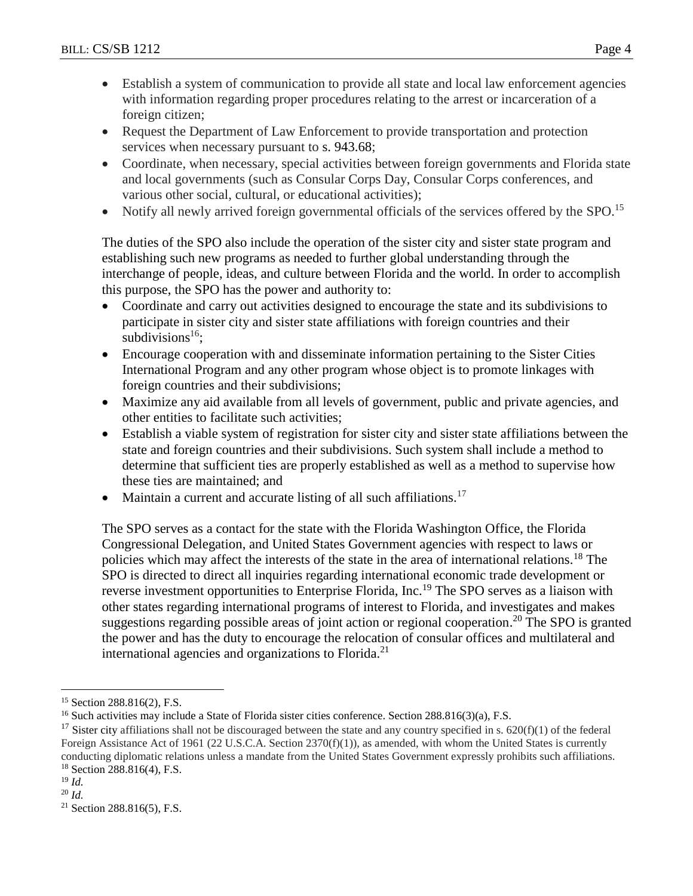- Establish a system of communication to provide all state and local law enforcement agencies with information regarding proper procedures relating to the arrest or incarceration of a foreign citizen;
- Request the Department of Law Enforcement to provide transportation and protection services when necessary pursuant to [s. 943.68;](https://1.next.westlaw.com/Link/Document/FullText?findType=L&pubNum=1000006&cite=FLSTS943.68&originatingDoc=NF1699400E90611E2A5EFA1428CB399FF&refType=LQ&originationContext=document&transitionType=DocumentItem&contextData=(sc.Search))
- Coordinate, when necessary, special activities between foreign governments and Florida state and local governments (such as Consular Corps Day, Consular Corps conferences, and various other social, cultural, or educational activities);
- Notify all newly arrived foreign governmental officials of the services offered by the SPO.<sup>15</sup>

The duties of the SPO also include the operation of the sister city and sister state program and establishing such new programs as needed to further global understanding through the interchange of people, ideas, and culture between Florida and the world. In order to accomplish this purpose, the SPO has the power and authority to:

- Coordinate and carry out activities designed to encourage the state and its subdivisions to participate in sister city and sister state affiliations with foreign countries and their subdivisions<sup>16</sup>:
- Encourage cooperation with and disseminate information pertaining to the Sister Cities International Program and any other program whose object is to promote linkages with foreign countries and their subdivisions;
- Maximize any aid available from all levels of government, public and private agencies, and other entities to facilitate such activities;
- Establish a viable system of registration for sister city and sister state affiliations between the state and foreign countries and their subdivisions. Such system shall include a method to determine that sufficient ties are properly established as well as a method to supervise how these ties are maintained; and
- Maintain a current and accurate listing of all such affiliations.<sup>17</sup>

The SPO serves as a contact for the state with the Florida Washington Office, the Florida Congressional Delegation, and United States Government agencies with respect to laws or policies which may affect the interests of the state in the area of international relations.<sup>18</sup> The SPO is directed to direct all inquiries regarding international economic trade development or reverse investment opportunities to Enterprise Florida, Inc.<sup>19</sup> The SPO serves as a liaison with other states regarding international programs of interest to Florida, and investigates and makes suggestions regarding possible areas of joint action or regional cooperation.<sup>20</sup> The SPO is granted the power and has the duty to encourage the relocation of consular offices and multilateral and international agencies and organizations to Florida.<sup>21</sup>

 $\overline{a}$ 

<sup>20</sup> *Id.*

<sup>15</sup> Section 288.816(2), F.S.

<sup>&</sup>lt;sup>16</sup> Such activities may include a State of Florida sister cities conference. Section 288.816(3)(a), F.S.

<sup>&</sup>lt;sup>17</sup> Sister city affiliations shall not be discouraged between the state and any country specified in s.  $620(f)(1)$  of the federal Foreign Assistance Act of 1961 (22 U.S.C.A. Section  $2370(f)(1)$ ), as amended, with whom the United States is currently conducting diplomatic relations unless a mandate from the United States Government expressly prohibits such affiliations.  $18$  Section 288.816(4), F.S.

 $19$  *Id.* 

<sup>21</sup> Section 288.816(5), F.S.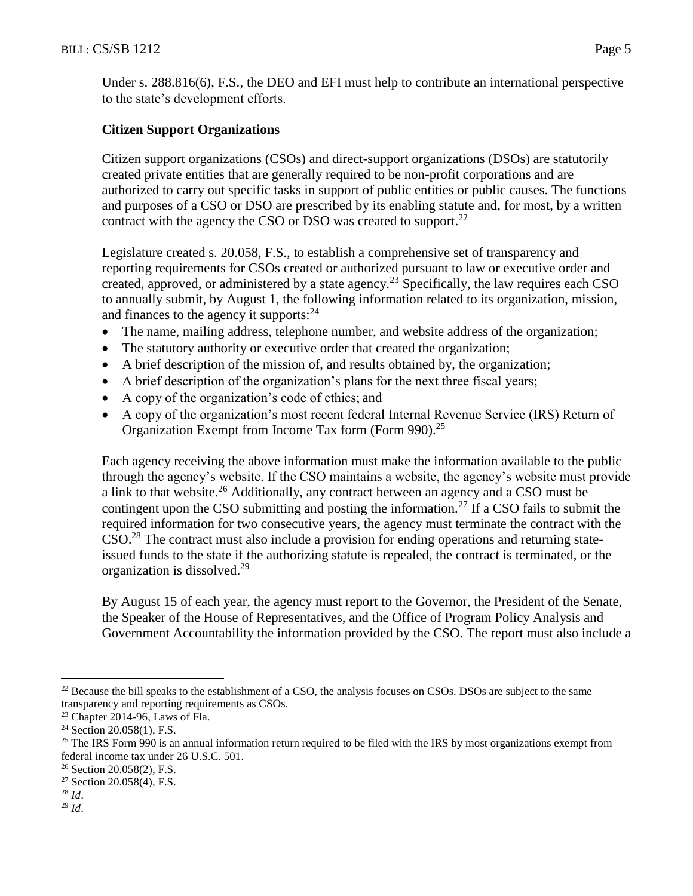Under s. 288.816(6), F.S., the DEO and EFI must help to contribute an international perspective to the state's development efforts.

# **Citizen Support Organizations**

Citizen support organizations (CSOs) and direct-support organizations (DSOs) are statutorily created private entities that are generally required to be non-profit corporations and are authorized to carry out specific tasks in support of public entities or public causes. The functions and purposes of a CSO or DSO are prescribed by its enabling statute and, for most, by a written contract with the agency the CSO or DSO was created to support.<sup>22</sup>

Legislature created s. 20.058, F.S., to establish a comprehensive set of transparency and reporting requirements for CSOs created or authorized pursuant to law or executive order and created, approved, or administered by a state agency.<sup>23</sup> Specifically, the law requires each CSO to annually submit, by August 1, the following information related to its organization, mission, and finances to the agency it supports: <sup>24</sup>

- The name, mailing address, telephone number, and website address of the organization;
- The statutory authority or executive order that created the organization;
- A brief description of the mission of, and results obtained by, the organization;
- A brief description of the organization's plans for the next three fiscal years;
- A copy of the organization's code of ethics; and
- A copy of the organization's most recent federal Internal Revenue Service (IRS) Return of Organization Exempt from Income Tax form (Form 990).<sup>25</sup>

Each agency receiving the above information must make the information available to the public through the agency's website. If the CSO maintains a website, the agency's website must provide a link to that website.<sup>26</sup> Additionally, any contract between an agency and a CSO must be contingent upon the CSO submitting and posting the information.<sup>27</sup> If a CSO fails to submit the required information for two consecutive years, the agency must terminate the contract with the CSO.<sup>28</sup> The contract must also include a provision for ending operations and returning stateissued funds to the state if the authorizing statute is repealed, the contract is terminated, or the organization is dissolved.<sup>29</sup>

By August 15 of each year, the agency must report to the Governor, the President of the Senate, the Speaker of the House of Representatives, and the Office of Program Policy Analysis and Government Accountability the information provided by the CSO. The report must also include a

 $\overline{a}$ 

<sup>&</sup>lt;sup>22</sup> Because the bill speaks to the establishment of a CSO, the analysis focuses on CSOs. DSOs are subject to the same transparency and reporting requirements as CSOs.

 $23$  Chapter 2014-96, Laws of Fla.

 $24$  Section 20.058(1), F.S.

 $25$  The IRS Form 990 is an annual information return required to be filed with the IRS by most organizations exempt from federal income tax under 26 U.S.C. 501.

<sup>26</sup> Section 20.058(2), F.S.

 $27$  Section 20.058(4), F.S.

<sup>28</sup> *Id*.

<sup>29</sup> *Id*.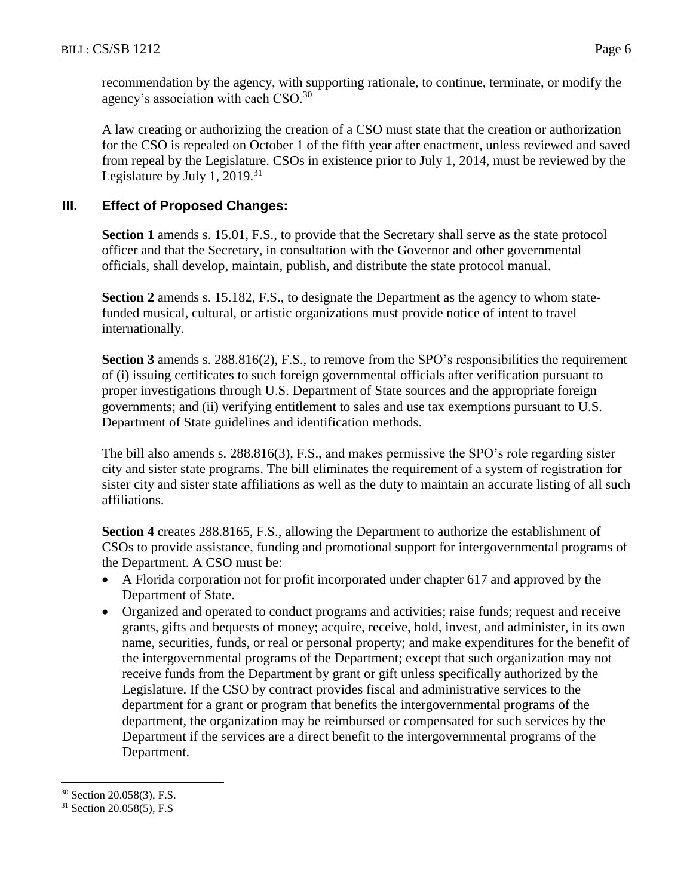recommendation by the agency, with supporting rationale, to continue, terminate, or modify the agency's association with each CSO. $30$ 

A law creating or authorizing the creation of a CSO must state that the creation or authorization for the CSO is repealed on October 1 of the fifth year after enactment, unless reviewed and saved from repeal by the Legislature. CSOs in existence prior to July 1, 2014, must be reviewed by the Legislature by July 1,  $2019.<sup>31</sup>$ 

# **III. Effect of Proposed Changes:**

**Section 1** amends s. 15.01, F.S., to provide that the Secretary shall serve as the state protocol officer and that the Secretary, in consultation with the Governor and other governmental officials, shall develop, maintain, publish, and distribute the state protocol manual.

**Section 2** amends s. 15.182, F.S., to designate the Department as the agency to whom statefunded musical, cultural, or artistic organizations must provide notice of intent to travel internationally.

**Section 3** amends s. 288.816(2), F.S., to remove from the SPO's responsibilities the requirement of (i) issuing certificates to such foreign governmental officials after verification pursuant to proper investigations through U.S. Department of State sources and the appropriate foreign governments; and (ii) verifying entitlement to sales and use tax exemptions pursuant to U.S. Department of State guidelines and identification methods.

The bill also amends s. 288.816(3), F.S., and makes permissive the SPO's role regarding sister city and sister state programs. The bill eliminates the requirement of a system of registration for sister city and sister state affiliations as well as the duty to maintain an accurate listing of all such affiliations.

**Section 4** creates 288.8165, F.S., allowing the Department to authorize the establishment of CSOs to provide assistance, funding and promotional support for intergovernmental programs of the Department. A CSO must be:

- A Florida corporation not for profit incorporated under chapter 617 and approved by the Department of State.
- Organized and operated to conduct programs and activities; raise funds; request and receive grants, gifts and bequests of money; acquire, receive, hold, invest, and administer, in its own name, securities, funds, or real or personal property; and make expenditures for the benefit of the intergovernmental programs of the Department; except that such organization may not receive funds from the Department by grant or gift unless specifically authorized by the Legislature. If the CSO by contract provides fiscal and administrative services to the department for a grant or program that benefits the intergovernmental programs of the department, the organization may be reimbursed or compensated for such services by the Department if the services are a direct benefit to the intergovernmental programs of the Department.

 $\overline{a}$ 

<sup>30</sup> Section 20.058(3), F.S.

<sup>31</sup> Section 20.058(5), F.S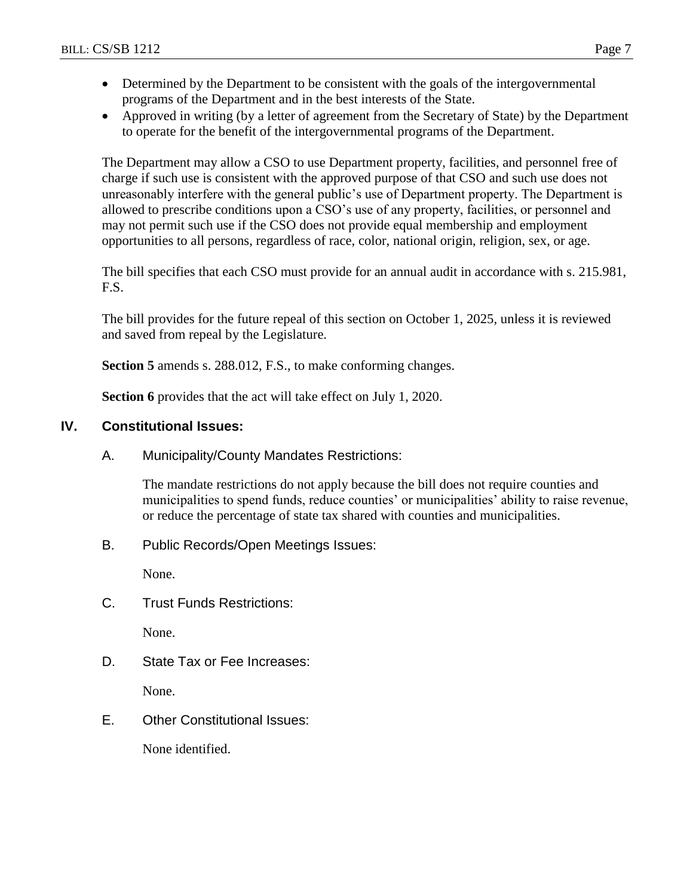- Determined by the Department to be consistent with the goals of the intergovernmental programs of the Department and in the best interests of the State.
- Approved in writing (by a letter of agreement from the Secretary of State) by the Department to operate for the benefit of the intergovernmental programs of the Department.

The Department may allow a CSO to use Department property, facilities, and personnel free of charge if such use is consistent with the approved purpose of that CSO and such use does not unreasonably interfere with the general public's use of Department property. The Department is allowed to prescribe conditions upon a CSO's use of any property, facilities, or personnel and may not permit such use if the CSO does not provide equal membership and employment opportunities to all persons, regardless of race, color, national origin, religion, sex, or age.

The bill specifies that each CSO must provide for an annual audit in accordance with s. 215.981, F.S.

The bill provides for the future repeal of this section on October 1, 2025, unless it is reviewed and saved from repeal by the Legislature.

**Section 5** amends s. 288.012, F.S., to make conforming changes.

**Section 6** provides that the act will take effect on July 1, 2020.

# **IV. Constitutional Issues:**

A. Municipality/County Mandates Restrictions:

The mandate restrictions do not apply because the bill does not require counties and municipalities to spend funds, reduce counties' or municipalities' ability to raise revenue, or reduce the percentage of state tax shared with counties and municipalities.

B. Public Records/Open Meetings Issues:

None.

C. Trust Funds Restrictions:

None.

D. State Tax or Fee Increases:

None.

E. Other Constitutional Issues:

None identified.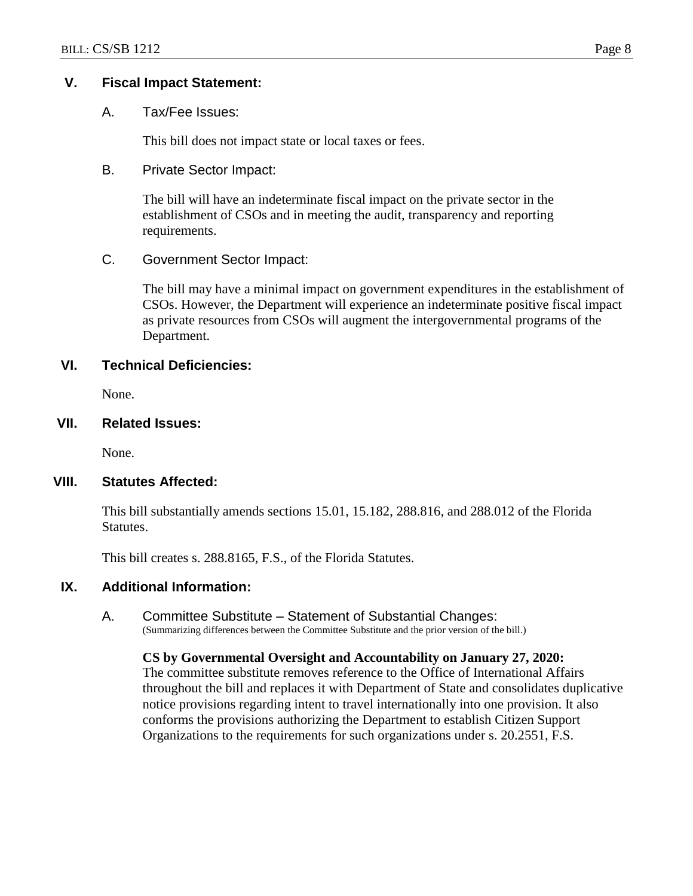#### **V. Fiscal Impact Statement:**

A. Tax/Fee Issues:

This bill does not impact state or local taxes or fees.

# B. Private Sector Impact:

The bill will have an indeterminate fiscal impact on the private sector in the establishment of CSOs and in meeting the audit, transparency and reporting requirements.

#### C. Government Sector Impact:

The bill may have a minimal impact on government expenditures in the establishment of CSOs. However, the Department will experience an indeterminate positive fiscal impact as private resources from CSOs will augment the intergovernmental programs of the Department.

#### **VI. Technical Deficiencies:**

None.

#### **VII. Related Issues:**

None.

#### **VIII. Statutes Affected:**

This bill substantially amends sections 15.01, 15.182, 288.816, and 288.012 of the Florida Statutes.

This bill creates s. 288.8165, F.S., of the Florida Statutes.

# **IX. Additional Information:**

A. Committee Substitute – Statement of Substantial Changes: (Summarizing differences between the Committee Substitute and the prior version of the bill.)

#### **CS by Governmental Oversight and Accountability on January 27, 2020:**

The committee substitute removes reference to the Office of International Affairs throughout the bill and replaces it with Department of State and consolidates duplicative notice provisions regarding intent to travel internationally into one provision. It also conforms the provisions authorizing the Department to establish Citizen Support Organizations to the requirements for such organizations under s. 20.2551, F.S.